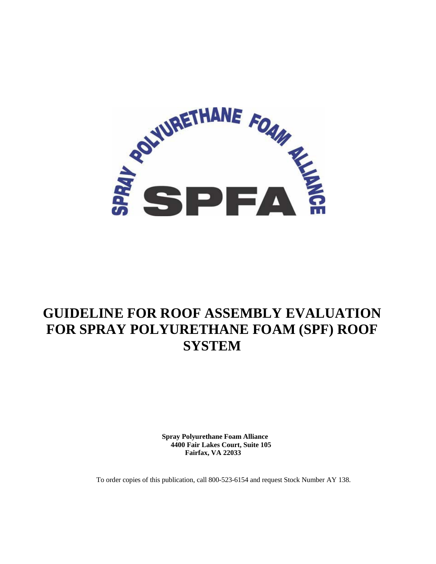

## **GUIDELINE FOR ROOF ASSEMBLY EVALUATION FOR SPRAY POLYURETHANE FOAM (SPF) ROOF SYSTEM**

**Spray Polyurethane Foam Alliance 4400 Fair Lakes Court, Suite 105 Fairfax, VA 22033** 

To order copies of this publication, call 800-523-6154 and request Stock Number AY 138.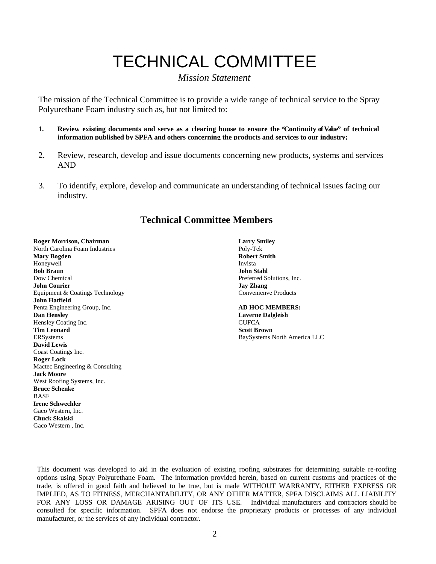# TECHNICAL COMMITTEE

#### *Mission Statement*

The mission of the Technical Committee is to provide a wide range of technical service to the Spray Polyurethane Foam industry such as, but not limited to:

- **1. Review existing documents and serve as a clearing house to ensure the "Continuity of Value" of technical information published by SPFA and others concerning the products and services to our industry;**
- 2. Review, research, develop and issue documents concerning new products, systems and services AND
- 3. To identify, explore, develop and communicate an understanding of technical issues facing our industry.

### **Technical Committee Members**

#### **Roger Morrison, Chairman Larry Smiley Construction Chairman Larry Smiley**

North Carolina Foam Industries Poly-Tek **Mary Bogden Robert Smith School School Smith Robert Smith Robert Smith Robert Smith Robert Smith Robert Smith** Honeywell **Bob Braun John Stahl**  Dow Chemical Preferred Solutions, Inc. **John Courier 3. Is a good of the Courier Courier Convenience Products**<br> **Jay Zhang** Convenience Products<br>
Convenience Products Equipment & Coatings Technology **John Hatfield**  Penta Engineering Group, Inc. **AD HOC MEMBERS: Dan Hensley Laverne Dalgleish**  Hensley Coating Inc. CUFCA **Tim Leonard Scott Brown Base of the Scott Brown Base of the Scott Brown Base of the Scott Brown Base of the Scott Brown Base of the Scott Brown Base of the Scott Brown Base of the Scott Brown Base of the Scott Brown Base David Lewis**  Coast Coatings Inc. **Roger Lock**  Mactec Engineering & Consulting **Jack Moore**  West Roofing Systems, Inc. **Bruce Schenke**  BASF **Irene Schwechler**  Gaco Western, Inc. **Chuck Skalski**  Gaco Western , Inc.

BaySystems North America LLC

This document was developed to aid in the evaluation of existing roofing substrates for determining suitable re-roofing options using Spray Polyurethane Foam. The information provided herein, based on current customs and practices of the trade, is offered in good faith and believed to be true, but is made WITHOUT WARRANTY, EITHER EXPRESS OR IMPLIED, AS TO FITNESS, MERCHANTABILITY, OR ANY OTHER MATTER, SPFA DISCLAIMS ALL LIABILITY FOR ANY LOSS OR DAMAGE ARISING OUT OF ITS USE. Individual manufacturers and contractors should be consulted for specific information. SPFA does not endorse the proprietary products or processes of any individual manufacturer, or the services of any individual contractor.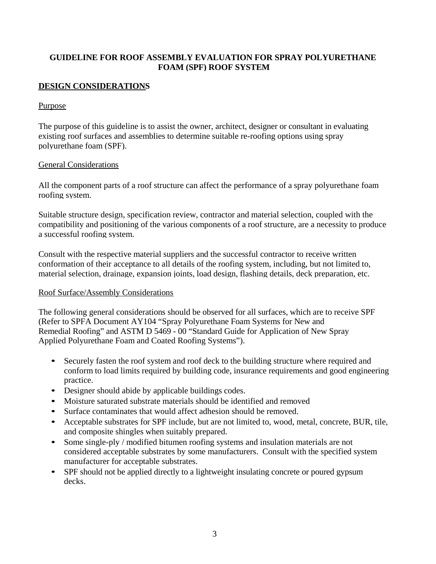#### **GUIDELINE FOR ROOF ASSEMBLY EVALUATION FOR SPRAY POLYURETHANE FOAM (SPF) ROOF SYSTEM**

#### **DESIGN CONSIDERATIONS**

#### Purpose

The purpose of this guideline is to assist the owner, architect, designer or consultant in evaluating existing roof surfaces and assemblies to determine suitable re-roofing options using spray polyurethane foam (SPF).

#### General Considerations

All the component parts of a roof structure can affect the performance of a spray polyurethane foam roofing system.

Suitable structure design, specification review, contractor and material selection, coupled with the compatibility and positioning of the various components of a roof structure, are a necessity to produce a successful roofing system.

Consult with the respective material suppliers and the successful contractor to receive written conformation of their acceptance to all details of the roofing system, including, but not limited to, material selection, drainage, expansion joints, load design, flashing details, deck preparation, etc.

#### Roof Surface/Assembly Considerations

The following general considerations should be observed for all surfaces, which are to receive SPF (Refer to SPFA Document AY104 "Spray Polyurethane Foam Systems for New and Remedial Roofing" and ASTM D 5469 - 00 "Standard Guide for Application of New Spray Applied Polyurethane Foam and Coated Roofing Systems").

- Securely fasten the roof system and roof deck to the building structure where required and conform to load limits required by building code, insurance requirements and good engineering practice.
- Designer should abide by applicable buildings codes.
- Moisture saturated substrate materials should be identified and removed
- Surface contaminates that would affect adhesion should be removed.
- Acceptable substrates for SPF include, but are not limited to, wood, metal, concrete, BUR, tile, and composite shingles when suitably prepared.
- Some single-ply / modified bitumen roofing systems and insulation materials are not considered acceptable substrates by some manufacturers. Consult with the specified system manufacturer for acceptable substrates.
- SPF should not be applied directly to a lightweight insulating concrete or poured gypsum decks.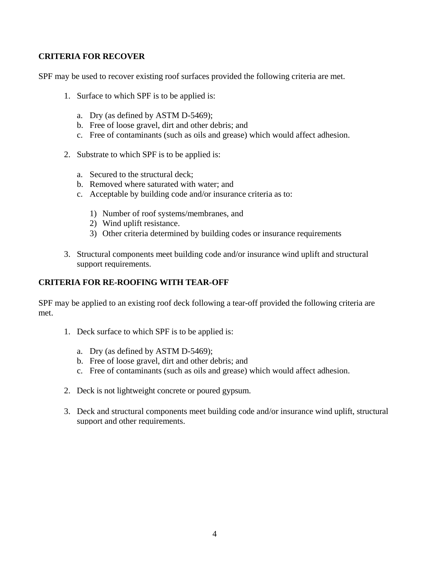#### **CRITERIA FOR RECOVER**

SPF may be used to recover existing roof surfaces provided the following criteria are met.

- 1. Surface to which SPF is to be applied is:
	- a. Dry (as defined by ASTM D-5469);
	- b. Free of loose gravel, dirt and other debris; and
	- c. Free of contaminants (such as oils and grease) which would affect adhesion.
- 2. Substrate to which SPF is to be applied is:
	- a. Secured to the structural deck;
	- b. Removed where saturated with water; and
	- c. Acceptable by building code and/or insurance criteria as to:
		- 1) Number of roof systems/membranes, and
		- 2) Wind uplift resistance.
		- 3) Other criteria determined by building codes or insurance requirements
- 3. Structural components meet building code and/or insurance wind uplift and structural support requirements.

#### **CRITERIA FOR RE-ROOFING WITH TEAR-OFF**

SPF may be applied to an existing roof deck following a tear-off provided the following criteria are met.

- 1. Deck surface to which SPF is to be applied is:
	- a. Dry (as defined by ASTM D-5469);
	- b. Free of loose gravel, dirt and other debris; and
	- c. Free of contaminants (such as oils and grease) which would affect adhesion.
- 2. Deck is not lightweight concrete or poured gypsum.
- 3. Deck and structural components meet building code and/or insurance wind uplift, structural support and other requirements.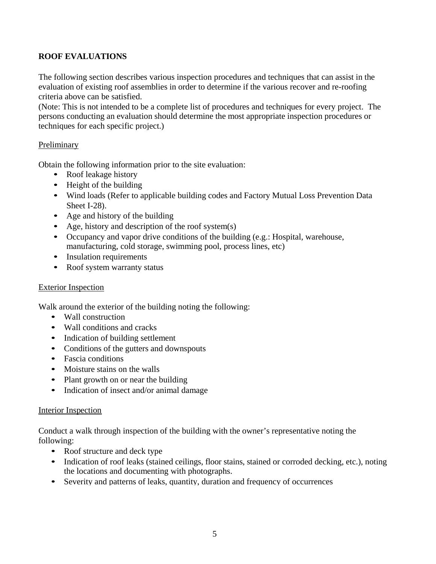#### **ROOF EVALUATIONS**

The following section describes various inspection procedures and techniques that can assist in the evaluation of existing roof assemblies in order to determine if the various recover and re-roofing criteria above can be satisfied.

(Note: This is not intended to be a complete list of procedures and techniques for every project. The persons conducting an evaluation should determine the most appropriate inspection procedures or techniques for each specific project.)

#### Preliminary

Obtain the following information prior to the site evaluation:

- Roof leakage history
- Height of the building
- Wind loads (Refer to applicable building codes and Factory Mutual Loss Prevention Data Sheet I-28).
- Age and history of the building
- Age, history and description of the roof system(s)
- Occupancy and vapor drive conditions of the building (e.g.: Hospital, warehouse, manufacturing, cold storage, swimming pool, process lines, etc)
- Insulation requirements
- Roof system warranty status

#### Exterior Inspection

Walk around the exterior of the building noting the following:

- Wall construction
- Wall conditions and cracks
- Indication of building settlement
- Conditions of the gutters and downspouts
- Fascia conditions
- Moisture stains on the walls
- Plant growth on or near the building
- Indication of insect and/or animal damage

#### Interior Inspection

Conduct a walk through inspection of the building with the owner's representative noting the following:

- Roof structure and deck type
- Indication of roof leaks (stained ceilings, floor stains, stained or corroded decking, etc.), noting the locations and documenting with photographs.
- Severity and patterns of leaks, quantity, duration and frequency of occurrences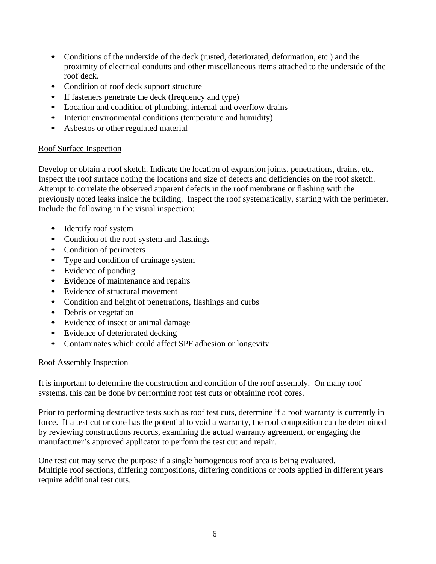- Conditions of the underside of the deck (rusted, deteriorated, deformation, etc.) and the proximity of electrical conduits and other miscellaneous items attached to the underside of the roof deck.
- Condition of roof deck support structure
- If fasteners penetrate the deck (frequency and type)
- Location and condition of plumbing, internal and overflow drains
- Interior environmental conditions (temperature and humidity)
- Asbestos or other regulated material

#### Roof Surface Inspection

Develop or obtain a roof sketch. Indicate the location of expansion joints, penetrations, drains, etc. Inspect the roof surface noting the locations and size of defects and deficiencies on the roof sketch. Attempt to correlate the observed apparent defects in the roof membrane or flashing with the previously noted leaks inside the building. Inspect the roof systematically, starting with the perimeter. Include the following in the visual inspection:

- Identify roof system
- Condition of the roof system and flashings
- Condition of perimeters
- Type and condition of drainage system
- Evidence of ponding
- Evidence of maintenance and repairs
- Evidence of structural movement
- Condition and height of penetrations, flashings and curbs
- Debris or vegetation
- Evidence of insect or animal damage
- Evidence of deteriorated decking
- Contaminates which could affect SPF adhesion or longevity

#### Roof Assembly Inspection

It is important to determine the construction and condition of the roof assembly. On many roof systems, this can be done by performing roof test cuts or obtaining roof cores.

Prior to performing destructive tests such as roof test cuts, determine if a roof warranty is currently in force. If a test cut or core has the potential to void a warranty, the roof composition can be determined by reviewing constructions records, examining the actual warranty agreement, or engaging the manufacturer's approved applicator to perform the test cut and repair.

One test cut may serve the purpose if a single homogenous roof area is being evaluated. Multiple roof sections, differing compositions, differing conditions or roofs applied in different years require additional test cuts.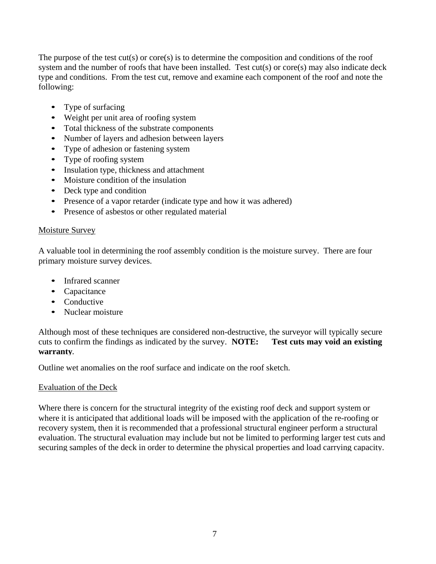The purpose of the test  $cut(s)$  or core $(s)$  is to determine the composition and conditions of the roof system and the number of roofs that have been installed. Test cut(s) or core(s) may also indicate deck type and conditions. From the test cut, remove and examine each component of the roof and note the following:

- Type of surfacing
- Weight per unit area of roofing system
- Total thickness of the substrate components
- Number of layers and adhesion between layers
- Type of adhesion or fastening system
- Type of roofing system
- Insulation type, thickness and attachment
- Moisture condition of the insulation
- Deck type and condition
- Presence of a vapor retarder (indicate type and how it was adhered)
- Presence of asbestos or other regulated material

#### Moisture Survey

A valuable tool in determining the roof assembly condition is the moisture survey. There are four primary moisture survey devices.

- Infrared scanner
- Capacitance
- Conductive
- Nuclear moisture

Although most of these techniques are considered non-destructive, the surveyor will typically secure cuts to confirm the findings as indicated by the survey. **NOTE: Test cuts may void an existing warranty.**

Outline wet anomalies on the roof surface and indicate on the roof sketch.

#### Evaluation of the Deck

Where there is concern for the structural integrity of the existing roof deck and support system or where it is anticipated that additional loads will be imposed with the application of the re-roofing or recovery system, then it is recommended that a professional structural engineer perform a structural evaluation. The structural evaluation may include but not be limited to performing larger test cuts and securing samples of the deck in order to determine the physical properties and load carrying capacity.